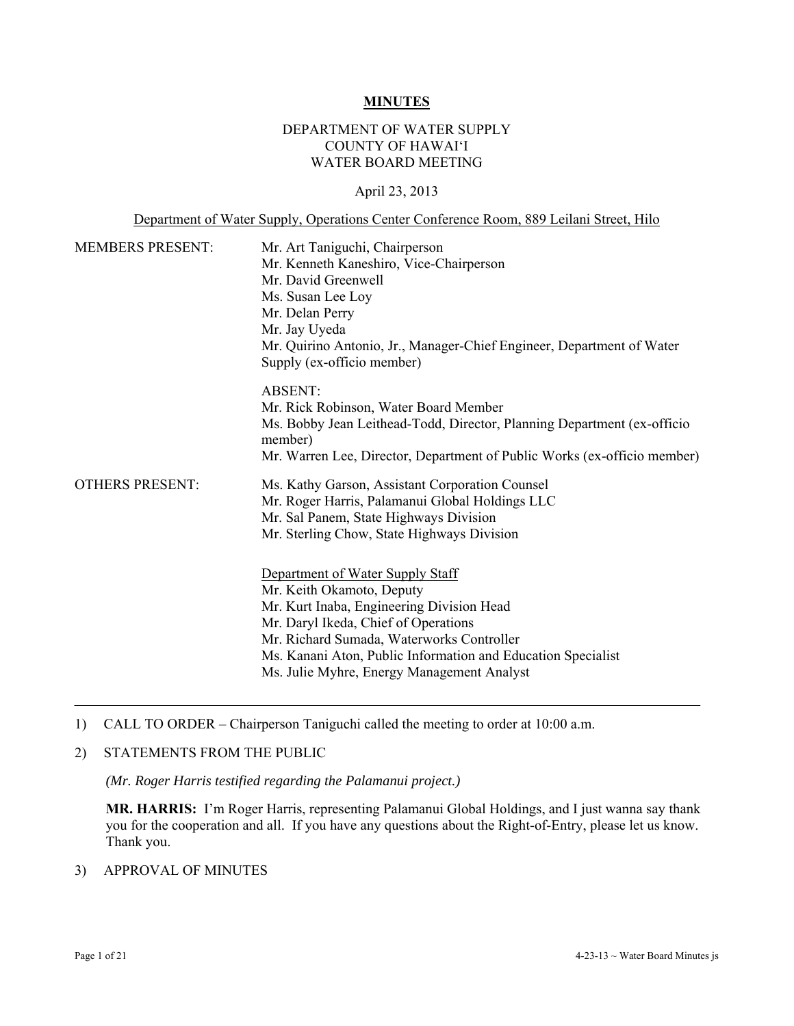#### **MINUTES**

### DEPARTMENT OF WATER SUPPLY COUNTY OF HAWAI'I WATER BOARD MEETING

### April 23, 2013

### Department of Water Supply, Operations Center Conference Room, 889 Leilani Street, Hilo

| <b>MEMBERS PRESENT:</b> | Mr. Art Taniguchi, Chairperson<br>Mr. Kenneth Kaneshiro, Vice-Chairperson<br>Mr. David Greenwell<br>Ms. Susan Lee Loy<br>Mr. Delan Perry<br>Mr. Jay Uyeda<br>Mr. Quirino Antonio, Jr., Manager-Chief Engineer, Department of Water<br>Supply (ex-officio member)                                              |
|-------------------------|---------------------------------------------------------------------------------------------------------------------------------------------------------------------------------------------------------------------------------------------------------------------------------------------------------------|
|                         | <b>ABSENT:</b><br>Mr. Rick Robinson, Water Board Member<br>Ms. Bobby Jean Leithead-Todd, Director, Planning Department (ex-officio<br>member)<br>Mr. Warren Lee, Director, Department of Public Works (ex-officio member)                                                                                     |
| <b>OTHERS PRESENT:</b>  | Ms. Kathy Garson, Assistant Corporation Counsel<br>Mr. Roger Harris, Palamanui Global Holdings LLC<br>Mr. Sal Panem, State Highways Division<br>Mr. Sterling Chow, State Highways Division                                                                                                                    |
|                         | Department of Water Supply Staff<br>Mr. Keith Okamoto, Deputy<br>Mr. Kurt Inaba, Engineering Division Head<br>Mr. Daryl Ikeda, Chief of Operations<br>Mr. Richard Sumada, Waterworks Controller<br>Ms. Kanani Aton, Public Information and Education Specialist<br>Ms. Julie Myhre, Energy Management Analyst |

1) CALL TO ORDER – Chairperson Taniguchi called the meeting to order at 10:00 a.m.

### 2) STATEMENTS FROM THE PUBLIC

*(Mr. Roger Harris testified regarding the Palamanui project.)* 

**MR. HARRIS:** I'm Roger Harris, representing Palamanui Global Holdings, and I just wanna say thank you for the cooperation and all. If you have any questions about the Right-of-Entry, please let us know. Thank you.

# 3) APPROVAL OF MINUTES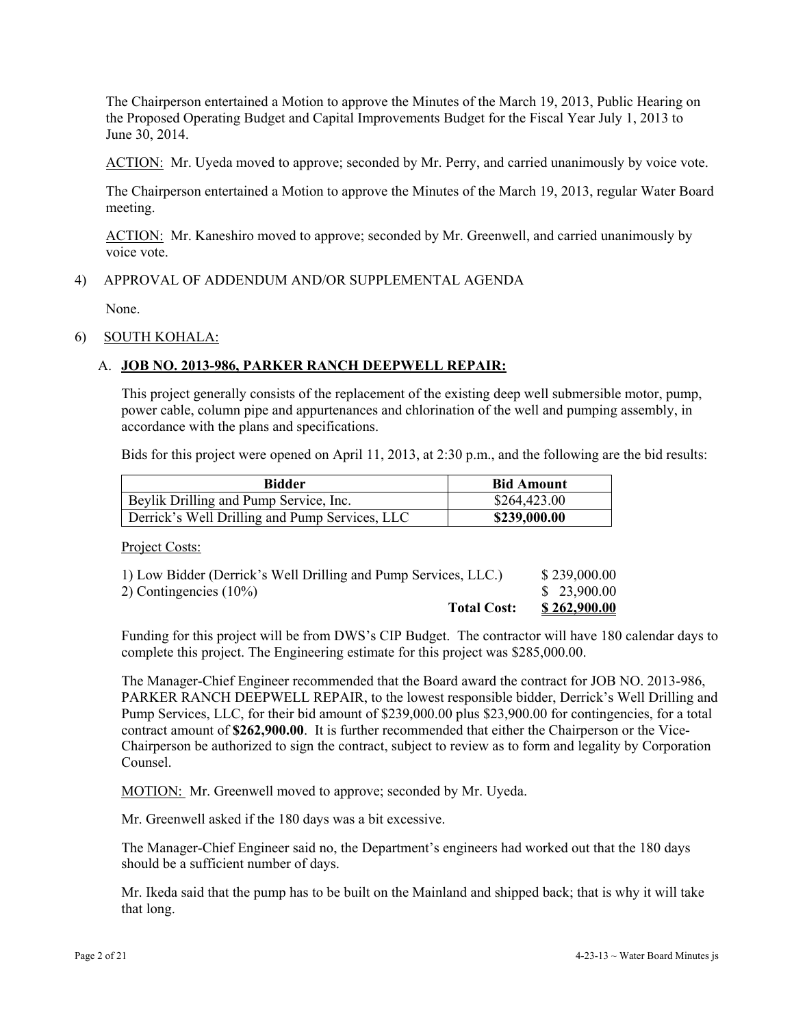The Chairperson entertained a Motion to approve the Minutes of the March 19, 2013, Public Hearing on the Proposed Operating Budget and Capital Improvements Budget for the Fiscal Year July 1, 2013 to June 30, 2014.

ACTION: Mr. Uyeda moved to approve; seconded by Mr. Perry, and carried unanimously by voice vote.

The Chairperson entertained a Motion to approve the Minutes of the March 19, 2013, regular Water Board meeting.

ACTION: Mr. Kaneshiro moved to approve; seconded by Mr. Greenwell, and carried unanimously by voice vote.

### 4) APPROVAL OF ADDENDUM AND/OR SUPPLEMENTAL AGENDA

None.

#### 6) SOUTH KOHALA:

### A. **JOB NO. 2013-986, PARKER RANCH DEEPWELL REPAIR:**

This project generally consists of the replacement of the existing deep well submersible motor, pump, power cable, column pipe and appurtenances and chlorination of the well and pumping assembly, in accordance with the plans and specifications.

Bids for this project were opened on April 11, 2013, at 2:30 p.m., and the following are the bid results:

| <b>Bidder</b>                                  | <b>Bid Amount</b> |
|------------------------------------------------|-------------------|
| Beylik Drilling and Pump Service, Inc.         | \$264,423.00      |
| Derrick's Well Drilling and Pump Services, LLC | \$239,000.00      |

Project Costs:

| <b>Total Cost:</b>                                              | \$262,900.00 |
|-----------------------------------------------------------------|--------------|
| 2) Contingencies $(10\%)$                                       | \$ 23,900.00 |
| 1) Low Bidder (Derrick's Well Drilling and Pump Services, LLC.) | \$239,000.00 |

Funding for this project will be from DWS's CIP Budget. The contractor will have 180 calendar days to complete this project. The Engineering estimate for this project was \$285,000.00.

The Manager-Chief Engineer recommended that the Board award the contract for JOB NO. 2013-986, PARKER RANCH DEEPWELL REPAIR, to the lowest responsible bidder, Derrick's Well Drilling and Pump Services, LLC, for their bid amount of \$239,000.00 plus \$23,900.00 for contingencies, for a total contract amount of **\$262,900.00**. It is further recommended that either the Chairperson or the Vice-Chairperson be authorized to sign the contract, subject to review as to form and legality by Corporation Counsel.

MOTION: Mr. Greenwell moved to approve; seconded by Mr. Uyeda.

Mr. Greenwell asked if the 180 days was a bit excessive.

The Manager-Chief Engineer said no, the Department's engineers had worked out that the 180 days should be a sufficient number of days.

Mr. Ikeda said that the pump has to be built on the Mainland and shipped back; that is why it will take that long.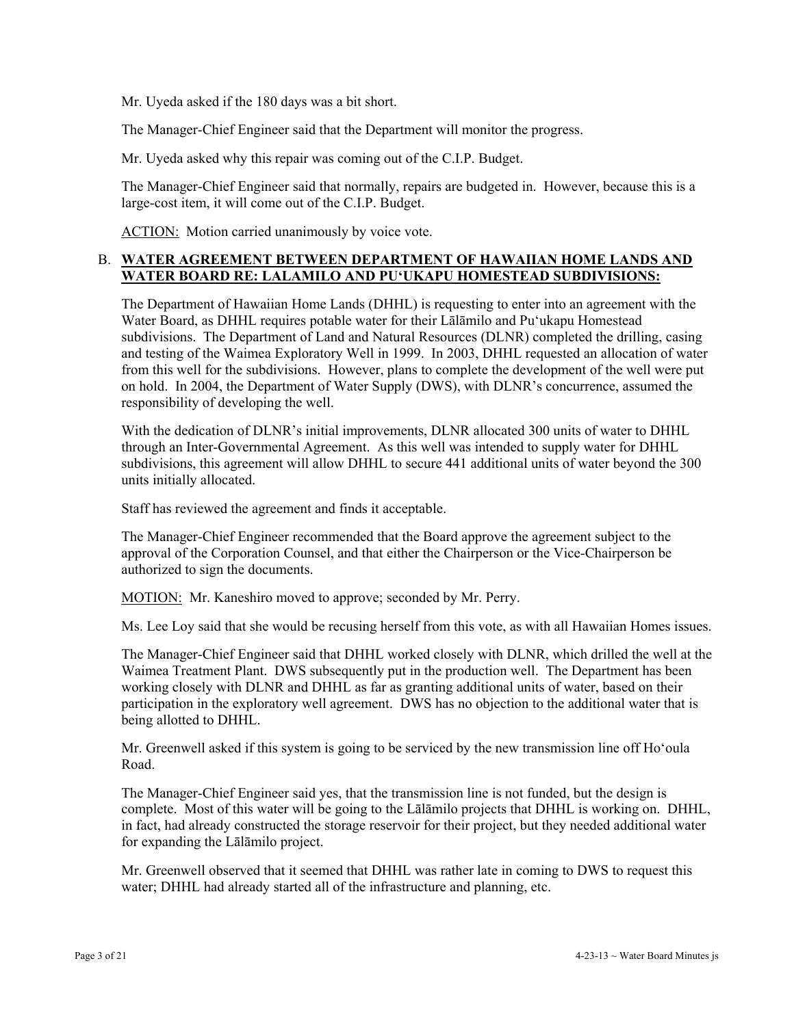Mr. Uyeda asked if the 180 days was a bit short.

The Manager-Chief Engineer said that the Department will monitor the progress.

Mr. Uyeda asked why this repair was coming out of the C.I.P. Budget.

The Manager-Chief Engineer said that normally, repairs are budgeted in. However, because this is a large-cost item, it will come out of the C.I.P. Budget.

ACTION: Motion carried unanimously by voice vote.

### B. **WATER AGREEMENT BETWEEN DEPARTMENT OF HAWAIIAN HOME LANDS AND WATER BOARD RE: LALAMILO AND PU'UKAPU HOMESTEAD SUBDIVISIONS:**

The Department of Hawaiian Home Lands (DHHL) is requesting to enter into an agreement with the Water Board, as DHHL requires potable water for their Lālāmilo and Pu'ukapu Homestead subdivisions. The Department of Land and Natural Resources (DLNR) completed the drilling, casing and testing of the Waimea Exploratory Well in 1999. In 2003, DHHL requested an allocation of water from this well for the subdivisions. However, plans to complete the development of the well were put on hold. In 2004, the Department of Water Supply (DWS), with DLNR's concurrence, assumed the responsibility of developing the well.

With the dedication of DLNR's initial improvements, DLNR allocated 300 units of water to DHHL through an Inter-Governmental Agreement. As this well was intended to supply water for DHHL subdivisions, this agreement will allow DHHL to secure 441 additional units of water beyond the 300 units initially allocated.

Staff has reviewed the agreement and finds it acceptable.

The Manager-Chief Engineer recommended that the Board approve the agreement subject to the approval of the Corporation Counsel, and that either the Chairperson or the Vice-Chairperson be authorized to sign the documents.

MOTION: Mr. Kaneshiro moved to approve; seconded by Mr. Perry.

Ms. Lee Loy said that she would be recusing herself from this vote, as with all Hawaiian Homes issues.

The Manager-Chief Engineer said that DHHL worked closely with DLNR, which drilled the well at the Waimea Treatment Plant. DWS subsequently put in the production well. The Department has been working closely with DLNR and DHHL as far as granting additional units of water, based on their participation in the exploratory well agreement. DWS has no objection to the additional water that is being allotted to DHHL.

Mr. Greenwell asked if this system is going to be serviced by the new transmission line off Ho'oula Road.

The Manager-Chief Engineer said yes, that the transmission line is not funded, but the design is complete. Most of this water will be going to the Lālāmilo projects that DHHL is working on. DHHL, in fact, had already constructed the storage reservoir for their project, but they needed additional water for expanding the Lālāmilo project.

Mr. Greenwell observed that it seemed that DHHL was rather late in coming to DWS to request this water; DHHL had already started all of the infrastructure and planning, etc.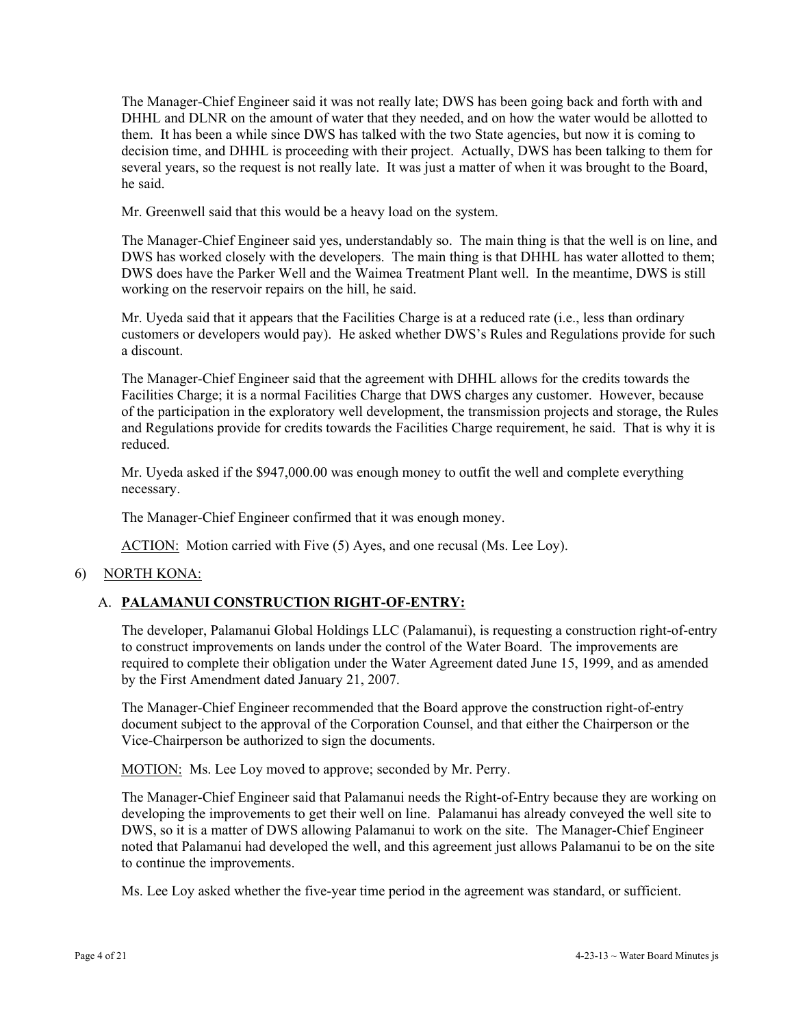The Manager-Chief Engineer said it was not really late; DWS has been going back and forth with and DHHL and DLNR on the amount of water that they needed, and on how the water would be allotted to them. It has been a while since DWS has talked with the two State agencies, but now it is coming to decision time, and DHHL is proceeding with their project. Actually, DWS has been talking to them for several years, so the request is not really late. It was just a matter of when it was brought to the Board, he said.

Mr. Greenwell said that this would be a heavy load on the system.

The Manager-Chief Engineer said yes, understandably so. The main thing is that the well is on line, and DWS has worked closely with the developers. The main thing is that DHHL has water allotted to them; DWS does have the Parker Well and the Waimea Treatment Plant well. In the meantime, DWS is still working on the reservoir repairs on the hill, he said.

Mr. Uyeda said that it appears that the Facilities Charge is at a reduced rate (i.e., less than ordinary customers or developers would pay). He asked whether DWS's Rules and Regulations provide for such a discount.

The Manager-Chief Engineer said that the agreement with DHHL allows for the credits towards the Facilities Charge; it is a normal Facilities Charge that DWS charges any customer. However, because of the participation in the exploratory well development, the transmission projects and storage, the Rules and Regulations provide for credits towards the Facilities Charge requirement, he said. That is why it is reduced.

Mr. Uyeda asked if the \$947,000.00 was enough money to outfit the well and complete everything necessary.

The Manager-Chief Engineer confirmed that it was enough money.

ACTION: Motion carried with Five (5) Ayes, and one recusal (Ms. Lee Loy).

6) NORTH KONA:

# A. **PALAMANUI CONSTRUCTION RIGHT-OF-ENTRY:**

The developer, Palamanui Global Holdings LLC (Palamanui), is requesting a construction right-of-entry to construct improvements on lands under the control of the Water Board. The improvements are required to complete their obligation under the Water Agreement dated June 15, 1999, and as amended by the First Amendment dated January 21, 2007.

The Manager-Chief Engineer recommended that the Board approve the construction right-of-entry document subject to the approval of the Corporation Counsel, and that either the Chairperson or the Vice-Chairperson be authorized to sign the documents.

MOTION: Ms. Lee Loy moved to approve; seconded by Mr. Perry.

The Manager-Chief Engineer said that Palamanui needs the Right-of-Entry because they are working on developing the improvements to get their well on line. Palamanui has already conveyed the well site to DWS, so it is a matter of DWS allowing Palamanui to work on the site. The Manager-Chief Engineer noted that Palamanui had developed the well, and this agreement just allows Palamanui to be on the site to continue the improvements.

Ms. Lee Loy asked whether the five-year time period in the agreement was standard, or sufficient.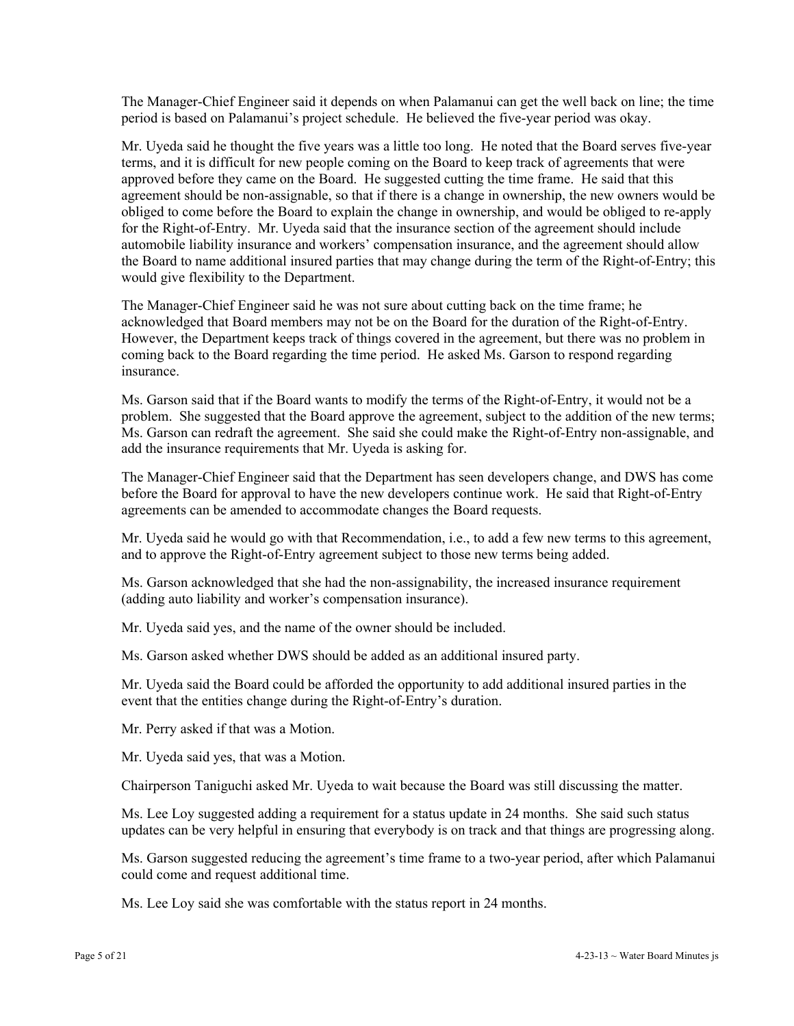The Manager-Chief Engineer said it depends on when Palamanui can get the well back on line; the time period is based on Palamanui's project schedule. He believed the five-year period was okay.

Mr. Uyeda said he thought the five years was a little too long. He noted that the Board serves five-year terms, and it is difficult for new people coming on the Board to keep track of agreements that were approved before they came on the Board. He suggested cutting the time frame. He said that this agreement should be non-assignable, so that if there is a change in ownership, the new owners would be obliged to come before the Board to explain the change in ownership, and would be obliged to re-apply for the Right-of-Entry. Mr. Uyeda said that the insurance section of the agreement should include automobile liability insurance and workers' compensation insurance, and the agreement should allow the Board to name additional insured parties that may change during the term of the Right-of-Entry; this would give flexibility to the Department.

The Manager-Chief Engineer said he was not sure about cutting back on the time frame; he acknowledged that Board members may not be on the Board for the duration of the Right-of-Entry. However, the Department keeps track of things covered in the agreement, but there was no problem in coming back to the Board regarding the time period. He asked Ms. Garson to respond regarding insurance.

Ms. Garson said that if the Board wants to modify the terms of the Right-of-Entry, it would not be a problem. She suggested that the Board approve the agreement, subject to the addition of the new terms; Ms. Garson can redraft the agreement. She said she could make the Right-of-Entry non-assignable, and add the insurance requirements that Mr. Uyeda is asking for.

The Manager-Chief Engineer said that the Department has seen developers change, and DWS has come before the Board for approval to have the new developers continue work. He said that Right-of-Entry agreements can be amended to accommodate changes the Board requests.

Mr. Uyeda said he would go with that Recommendation, i.e., to add a few new terms to this agreement, and to approve the Right-of-Entry agreement subject to those new terms being added.

Ms. Garson acknowledged that she had the non-assignability, the increased insurance requirement (adding auto liability and worker's compensation insurance).

Mr. Uyeda said yes, and the name of the owner should be included.

Ms. Garson asked whether DWS should be added as an additional insured party.

Mr. Uyeda said the Board could be afforded the opportunity to add additional insured parties in the event that the entities change during the Right-of-Entry's duration.

Mr. Perry asked if that was a Motion.

Mr. Uyeda said yes, that was a Motion.

Chairperson Taniguchi asked Mr. Uyeda to wait because the Board was still discussing the matter.

Ms. Lee Loy suggested adding a requirement for a status update in 24 months. She said such status updates can be very helpful in ensuring that everybody is on track and that things are progressing along.

Ms. Garson suggested reducing the agreement's time frame to a two-year period, after which Palamanui could come and request additional time.

Ms. Lee Loy said she was comfortable with the status report in 24 months.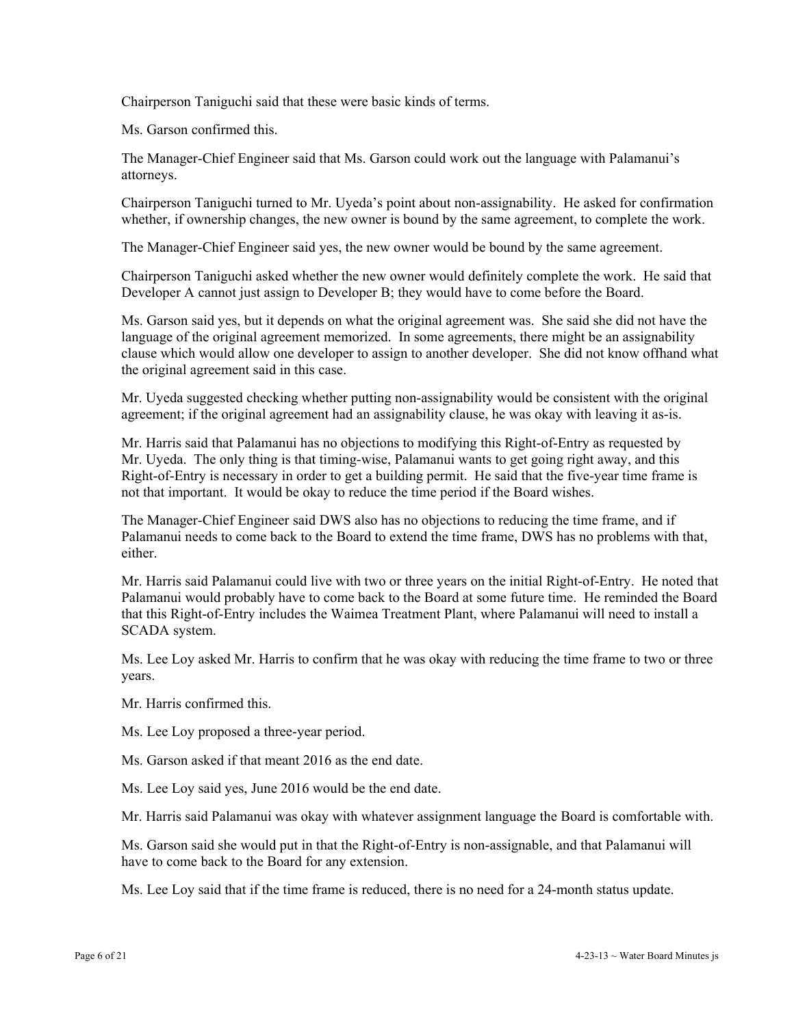Chairperson Taniguchi said that these were basic kinds of terms.

Ms. Garson confirmed this.

The Manager-Chief Engineer said that Ms. Garson could work out the language with Palamanui's attorneys.

Chairperson Taniguchi turned to Mr. Uyeda's point about non-assignability. He asked for confirmation whether, if ownership changes, the new owner is bound by the same agreement, to complete the work.

The Manager-Chief Engineer said yes, the new owner would be bound by the same agreement.

Chairperson Taniguchi asked whether the new owner would definitely complete the work. He said that Developer A cannot just assign to Developer B; they would have to come before the Board.

Ms. Garson said yes, but it depends on what the original agreement was. She said she did not have the language of the original agreement memorized. In some agreements, there might be an assignability clause which would allow one developer to assign to another developer. She did not know offhand what the original agreement said in this case.

Mr. Uyeda suggested checking whether putting non-assignability would be consistent with the original agreement; if the original agreement had an assignability clause, he was okay with leaving it as-is.

Mr. Harris said that Palamanui has no objections to modifying this Right-of-Entry as requested by Mr. Uyeda. The only thing is that timing-wise, Palamanui wants to get going right away, and this Right-of-Entry is necessary in order to get a building permit. He said that the five-year time frame is not that important. It would be okay to reduce the time period if the Board wishes.

The Manager-Chief Engineer said DWS also has no objections to reducing the time frame, and if Palamanui needs to come back to the Board to extend the time frame, DWS has no problems with that, either.

Mr. Harris said Palamanui could live with two or three years on the initial Right-of-Entry. He noted that Palamanui would probably have to come back to the Board at some future time. He reminded the Board that this Right-of-Entry includes the Waimea Treatment Plant, where Palamanui will need to install a SCADA system.

Ms. Lee Loy asked Mr. Harris to confirm that he was okay with reducing the time frame to two or three years.

Mr. Harris confirmed this.

Ms. Lee Loy proposed a three-year period.

Ms. Garson asked if that meant 2016 as the end date.

Ms. Lee Loy said yes, June 2016 would be the end date.

Mr. Harris said Palamanui was okay with whatever assignment language the Board is comfortable with.

Ms. Garson said she would put in that the Right-of-Entry is non-assignable, and that Palamanui will have to come back to the Board for any extension.

Ms. Lee Loy said that if the time frame is reduced, there is no need for a 24-month status update.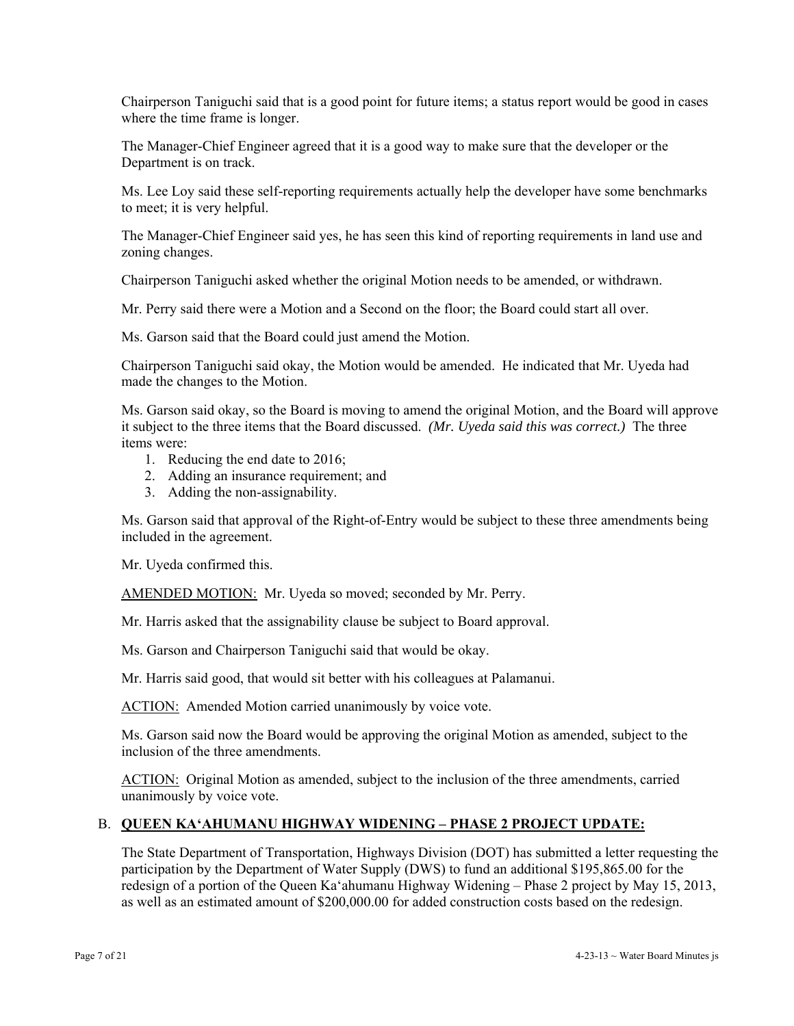Chairperson Taniguchi said that is a good point for future items; a status report would be good in cases where the time frame is longer.

The Manager-Chief Engineer agreed that it is a good way to make sure that the developer or the Department is on track.

Ms. Lee Loy said these self-reporting requirements actually help the developer have some benchmarks to meet; it is very helpful.

The Manager-Chief Engineer said yes, he has seen this kind of reporting requirements in land use and zoning changes.

Chairperson Taniguchi asked whether the original Motion needs to be amended, or withdrawn.

Mr. Perry said there were a Motion and a Second on the floor; the Board could start all over.

Ms. Garson said that the Board could just amend the Motion.

Chairperson Taniguchi said okay, the Motion would be amended. He indicated that Mr. Uyeda had made the changes to the Motion.

Ms. Garson said okay, so the Board is moving to amend the original Motion, and the Board will approve it subject to the three items that the Board discussed. *(Mr. Uyeda said this was correct.)* The three items were:

- 1. Reducing the end date to 2016;
- 2. Adding an insurance requirement; and
- 3. Adding the non-assignability.

Ms. Garson said that approval of the Right-of-Entry would be subject to these three amendments being included in the agreement.

Mr. Uyeda confirmed this.

AMENDED MOTION: Mr. Uyeda so moved; seconded by Mr. Perry.

Mr. Harris asked that the assignability clause be subject to Board approval.

Ms. Garson and Chairperson Taniguchi said that would be okay.

Mr. Harris said good, that would sit better with his colleagues at Palamanui.

ACTION: Amended Motion carried unanimously by voice vote.

Ms. Garson said now the Board would be approving the original Motion as amended, subject to the inclusion of the three amendments.

ACTION: Original Motion as amended, subject to the inclusion of the three amendments, carried unanimously by voice vote.

### B. **QUEEN KA'AHUMANU HIGHWAY WIDENING – PHASE 2 PROJECT UPDATE:**

The State Department of Transportation, Highways Division (DOT) has submitted a letter requesting the participation by the Department of Water Supply (DWS) to fund an additional \$195,865.00 for the redesign of a portion of the Queen Ka'ahumanu Highway Widening – Phase 2 project by May 15, 2013, as well as an estimated amount of \$200,000.00 for added construction costs based on the redesign.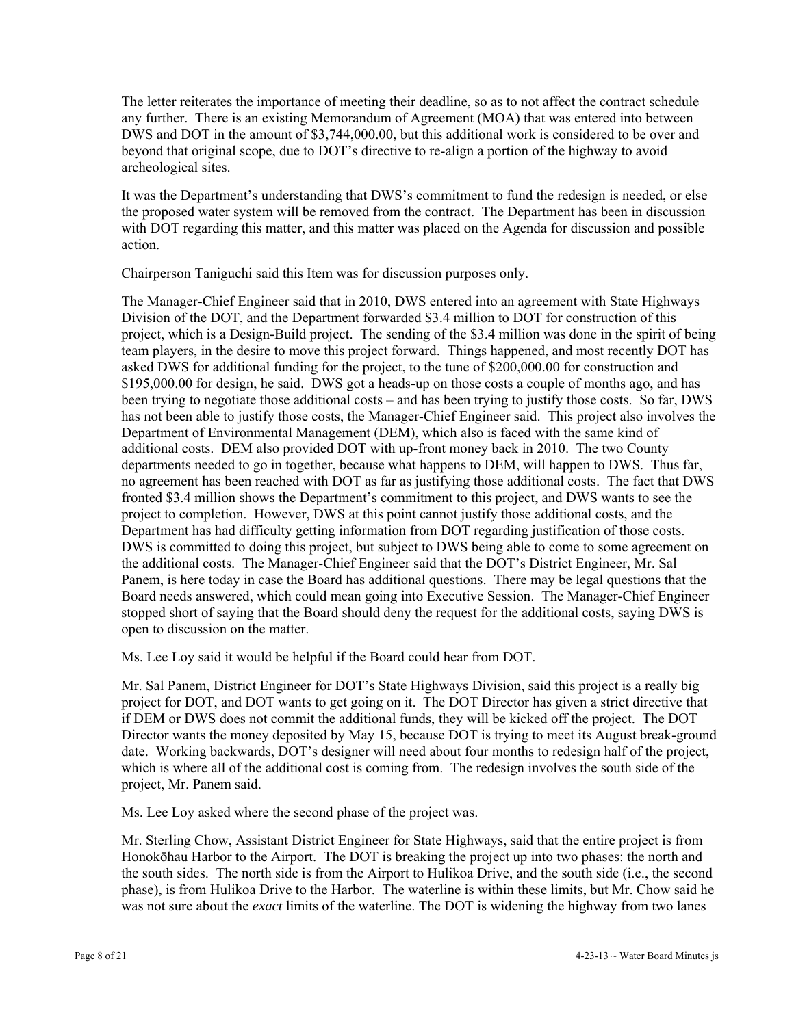The letter reiterates the importance of meeting their deadline, so as to not affect the contract schedule any further. There is an existing Memorandum of Agreement (MOA) that was entered into between DWS and DOT in the amount of \$3,744,000.00, but this additional work is considered to be over and beyond that original scope, due to DOT's directive to re-align a portion of the highway to avoid archeological sites.

It was the Department's understanding that DWS's commitment to fund the redesign is needed, or else the proposed water system will be removed from the contract. The Department has been in discussion with DOT regarding this matter, and this matter was placed on the Agenda for discussion and possible action.

Chairperson Taniguchi said this Item was for discussion purposes only.

The Manager-Chief Engineer said that in 2010, DWS entered into an agreement with State Highways Division of the DOT, and the Department forwarded \$3.4 million to DOT for construction of this project, which is a Design-Build project. The sending of the \$3.4 million was done in the spirit of being team players, in the desire to move this project forward. Things happened, and most recently DOT has asked DWS for additional funding for the project, to the tune of \$200,000.00 for construction and \$195,000.00 for design, he said. DWS got a heads-up on those costs a couple of months ago, and has been trying to negotiate those additional costs – and has been trying to justify those costs. So far, DWS has not been able to justify those costs, the Manager-Chief Engineer said. This project also involves the Department of Environmental Management (DEM), which also is faced with the same kind of additional costs. DEM also provided DOT with up-front money back in 2010. The two County departments needed to go in together, because what happens to DEM, will happen to DWS. Thus far, no agreement has been reached with DOT as far as justifying those additional costs. The fact that DWS fronted \$3.4 million shows the Department's commitment to this project, and DWS wants to see the project to completion. However, DWS at this point cannot justify those additional costs, and the Department has had difficulty getting information from DOT regarding justification of those costs. DWS is committed to doing this project, but subject to DWS being able to come to some agreement on the additional costs. The Manager-Chief Engineer said that the DOT's District Engineer, Mr. Sal Panem, is here today in case the Board has additional questions. There may be legal questions that the Board needs answered, which could mean going into Executive Session. The Manager-Chief Engineer stopped short of saying that the Board should deny the request for the additional costs, saying DWS is open to discussion on the matter.

Ms. Lee Loy said it would be helpful if the Board could hear from DOT.

Mr. Sal Panem, District Engineer for DOT's State Highways Division, said this project is a really big project for DOT, and DOT wants to get going on it. The DOT Director has given a strict directive that if DEM or DWS does not commit the additional funds, they will be kicked off the project. The DOT Director wants the money deposited by May 15, because DOT is trying to meet its August break-ground date. Working backwards, DOT's designer will need about four months to redesign half of the project, which is where all of the additional cost is coming from. The redesign involves the south side of the project, Mr. Panem said.

Ms. Lee Loy asked where the second phase of the project was.

Mr. Sterling Chow, Assistant District Engineer for State Highways, said that the entire project is from Honokōhau Harbor to the Airport. The DOT is breaking the project up into two phases: the north and the south sides. The north side is from the Airport to Hulikoa Drive, and the south side (i.e., the second phase), is from Hulikoa Drive to the Harbor. The waterline is within these limits, but Mr. Chow said he was not sure about the *exact* limits of the waterline. The DOT is widening the highway from two lanes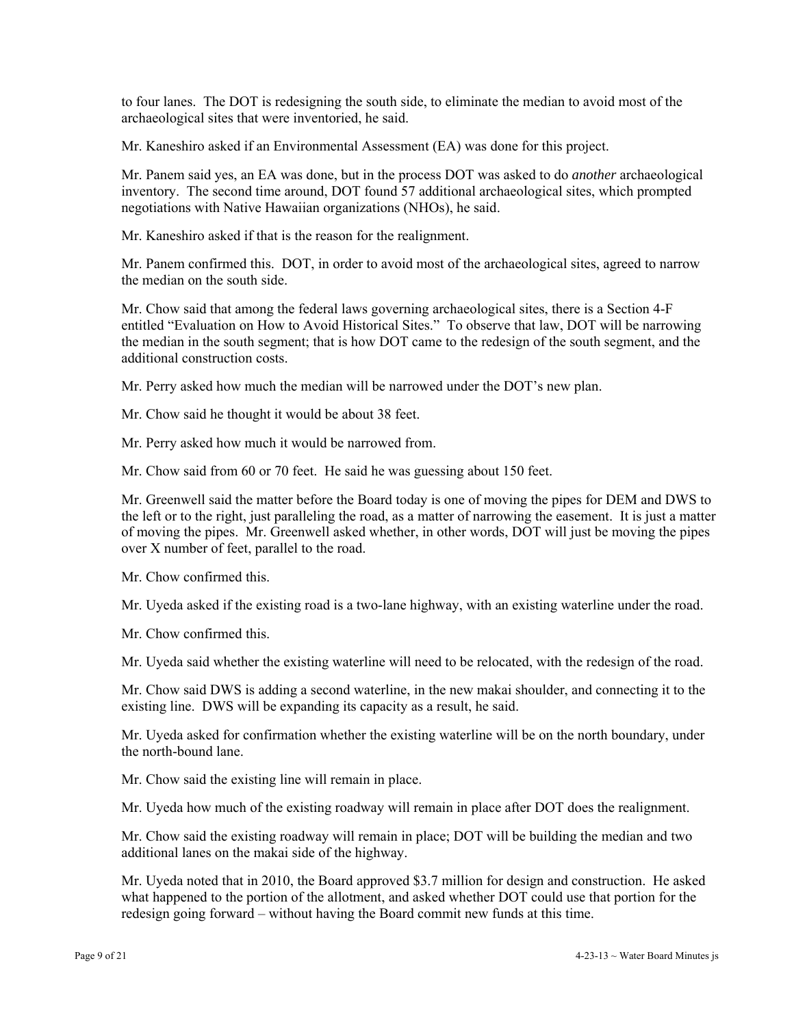to four lanes. The DOT is redesigning the south side, to eliminate the median to avoid most of the archaeological sites that were inventoried, he said.

Mr. Kaneshiro asked if an Environmental Assessment (EA) was done for this project.

Mr. Panem said yes, an EA was done, but in the process DOT was asked to do *another* archaeological inventory. The second time around, DOT found 57 additional archaeological sites, which prompted negotiations with Native Hawaiian organizations (NHOs), he said.

Mr. Kaneshiro asked if that is the reason for the realignment.

Mr. Panem confirmed this. DOT, in order to avoid most of the archaeological sites, agreed to narrow the median on the south side.

Mr. Chow said that among the federal laws governing archaeological sites, there is a Section 4-F entitled "Evaluation on How to Avoid Historical Sites." To observe that law, DOT will be narrowing the median in the south segment; that is how DOT came to the redesign of the south segment, and the additional construction costs.

Mr. Perry asked how much the median will be narrowed under the DOT's new plan.

Mr. Chow said he thought it would be about 38 feet.

Mr. Perry asked how much it would be narrowed from.

Mr. Chow said from 60 or 70 feet. He said he was guessing about 150 feet.

Mr. Greenwell said the matter before the Board today is one of moving the pipes for DEM and DWS to the left or to the right, just paralleling the road, as a matter of narrowing the easement. It is just a matter of moving the pipes. Mr. Greenwell asked whether, in other words, DOT will just be moving the pipes over X number of feet, parallel to the road.

Mr. Chow confirmed this.

Mr. Uyeda asked if the existing road is a two-lane highway, with an existing waterline under the road.

Mr. Chow confirmed this.

Mr. Uyeda said whether the existing waterline will need to be relocated, with the redesign of the road.

Mr. Chow said DWS is adding a second waterline, in the new makai shoulder, and connecting it to the existing line. DWS will be expanding its capacity as a result, he said.

Mr. Uyeda asked for confirmation whether the existing waterline will be on the north boundary, under the north-bound lane.

Mr. Chow said the existing line will remain in place.

Mr. Uyeda how much of the existing roadway will remain in place after DOT does the realignment.

Mr. Chow said the existing roadway will remain in place; DOT will be building the median and two additional lanes on the makai side of the highway.

Mr. Uyeda noted that in 2010, the Board approved \$3.7 million for design and construction. He asked what happened to the portion of the allotment, and asked whether DOT could use that portion for the redesign going forward – without having the Board commit new funds at this time.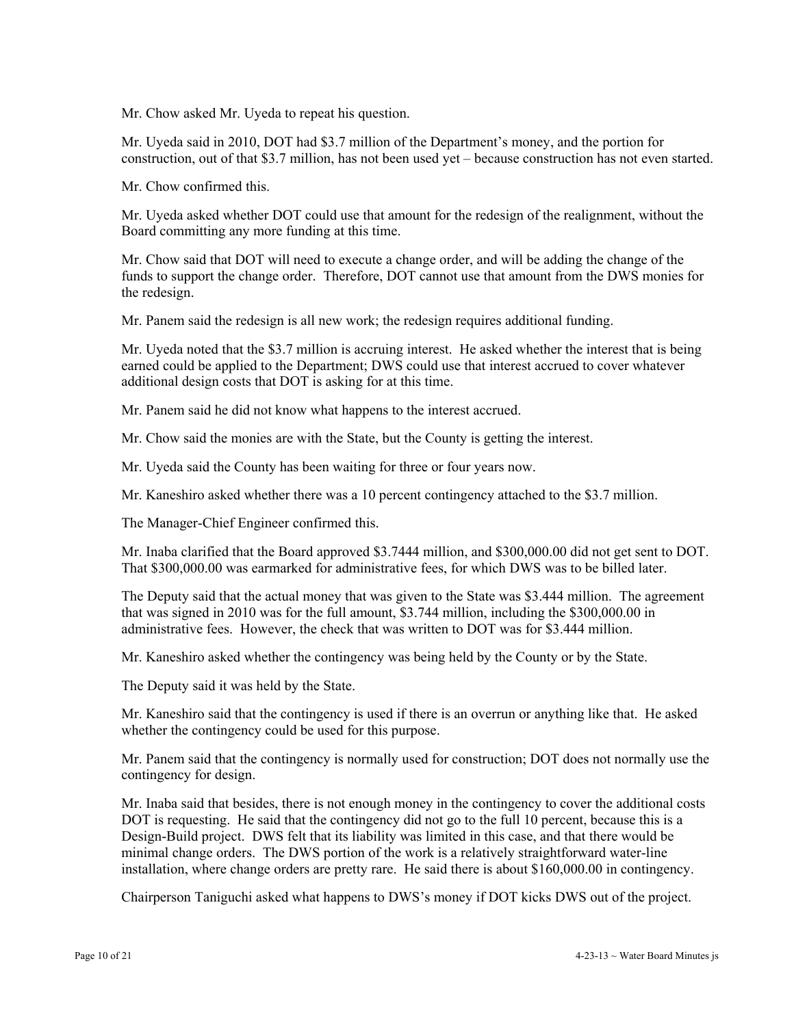Mr. Chow asked Mr. Uyeda to repeat his question.

Mr. Uyeda said in 2010, DOT had \$3.7 million of the Department's money, and the portion for construction, out of that \$3.7 million, has not been used yet – because construction has not even started.

Mr. Chow confirmed this.

Mr. Uyeda asked whether DOT could use that amount for the redesign of the realignment, without the Board committing any more funding at this time.

Mr. Chow said that DOT will need to execute a change order, and will be adding the change of the funds to support the change order. Therefore, DOT cannot use that amount from the DWS monies for the redesign.

Mr. Panem said the redesign is all new work; the redesign requires additional funding.

Mr. Uyeda noted that the \$3.7 million is accruing interest. He asked whether the interest that is being earned could be applied to the Department; DWS could use that interest accrued to cover whatever additional design costs that DOT is asking for at this time.

Mr. Panem said he did not know what happens to the interest accrued.

Mr. Chow said the monies are with the State, but the County is getting the interest.

Mr. Uyeda said the County has been waiting for three or four years now.

Mr. Kaneshiro asked whether there was a 10 percent contingency attached to the \$3.7 million.

The Manager-Chief Engineer confirmed this.

Mr. Inaba clarified that the Board approved \$3.7444 million, and \$300,000.00 did not get sent to DOT. That \$300,000.00 was earmarked for administrative fees, for which DWS was to be billed later.

The Deputy said that the actual money that was given to the State was \$3.444 million. The agreement that was signed in 2010 was for the full amount, \$3.744 million, including the \$300,000.00 in administrative fees. However, the check that was written to DOT was for \$3.444 million.

Mr. Kaneshiro asked whether the contingency was being held by the County or by the State.

The Deputy said it was held by the State.

Mr. Kaneshiro said that the contingency is used if there is an overrun or anything like that. He asked whether the contingency could be used for this purpose.

Mr. Panem said that the contingency is normally used for construction; DOT does not normally use the contingency for design.

Mr. Inaba said that besides, there is not enough money in the contingency to cover the additional costs DOT is requesting. He said that the contingency did not go to the full 10 percent, because this is a Design-Build project. DWS felt that its liability was limited in this case, and that there would be minimal change orders. The DWS portion of the work is a relatively straightforward water-line installation, where change orders are pretty rare. He said there is about \$160,000.00 in contingency.

Chairperson Taniguchi asked what happens to DWS's money if DOT kicks DWS out of the project.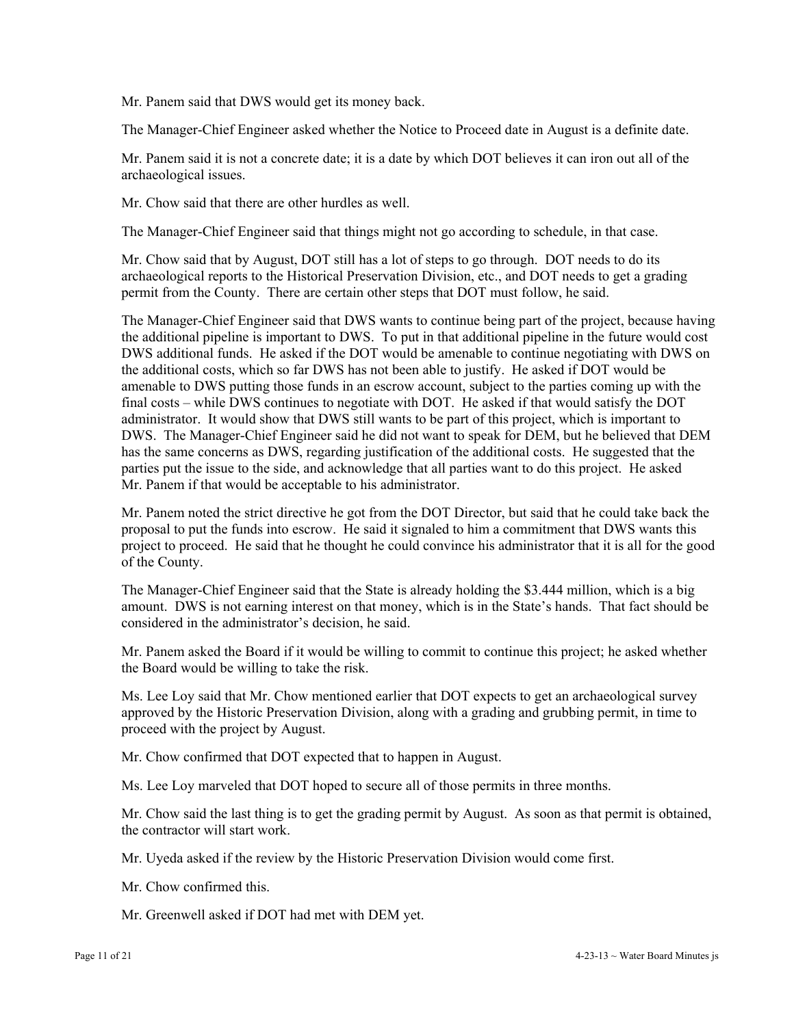Mr. Panem said that DWS would get its money back.

The Manager-Chief Engineer asked whether the Notice to Proceed date in August is a definite date.

Mr. Panem said it is not a concrete date; it is a date by which DOT believes it can iron out all of the archaeological issues.

Mr. Chow said that there are other hurdles as well.

The Manager-Chief Engineer said that things might not go according to schedule, in that case.

Mr. Chow said that by August, DOT still has a lot of steps to go through. DOT needs to do its archaeological reports to the Historical Preservation Division, etc., and DOT needs to get a grading permit from the County. There are certain other steps that DOT must follow, he said.

The Manager-Chief Engineer said that DWS wants to continue being part of the project, because having the additional pipeline is important to DWS. To put in that additional pipeline in the future would cost DWS additional funds. He asked if the DOT would be amenable to continue negotiating with DWS on the additional costs, which so far DWS has not been able to justify. He asked if DOT would be amenable to DWS putting those funds in an escrow account, subject to the parties coming up with the final costs – while DWS continues to negotiate with DOT. He asked if that would satisfy the DOT administrator. It would show that DWS still wants to be part of this project, which is important to DWS. The Manager-Chief Engineer said he did not want to speak for DEM, but he believed that DEM has the same concerns as DWS, regarding justification of the additional costs. He suggested that the parties put the issue to the side, and acknowledge that all parties want to do this project. He asked Mr. Panem if that would be acceptable to his administrator.

Mr. Panem noted the strict directive he got from the DOT Director, but said that he could take back the proposal to put the funds into escrow. He said it signaled to him a commitment that DWS wants this project to proceed. He said that he thought he could convince his administrator that it is all for the good of the County.

The Manager-Chief Engineer said that the State is already holding the \$3.444 million, which is a big amount. DWS is not earning interest on that money, which is in the State's hands. That fact should be considered in the administrator's decision, he said.

Mr. Panem asked the Board if it would be willing to commit to continue this project; he asked whether the Board would be willing to take the risk.

Ms. Lee Loy said that Mr. Chow mentioned earlier that DOT expects to get an archaeological survey approved by the Historic Preservation Division, along with a grading and grubbing permit, in time to proceed with the project by August.

Mr. Chow confirmed that DOT expected that to happen in August.

Ms. Lee Loy marveled that DOT hoped to secure all of those permits in three months.

Mr. Chow said the last thing is to get the grading permit by August. As soon as that permit is obtained, the contractor will start work.

Mr. Uyeda asked if the review by the Historic Preservation Division would come first.

Mr. Chow confirmed this.

Mr. Greenwell asked if DOT had met with DEM yet.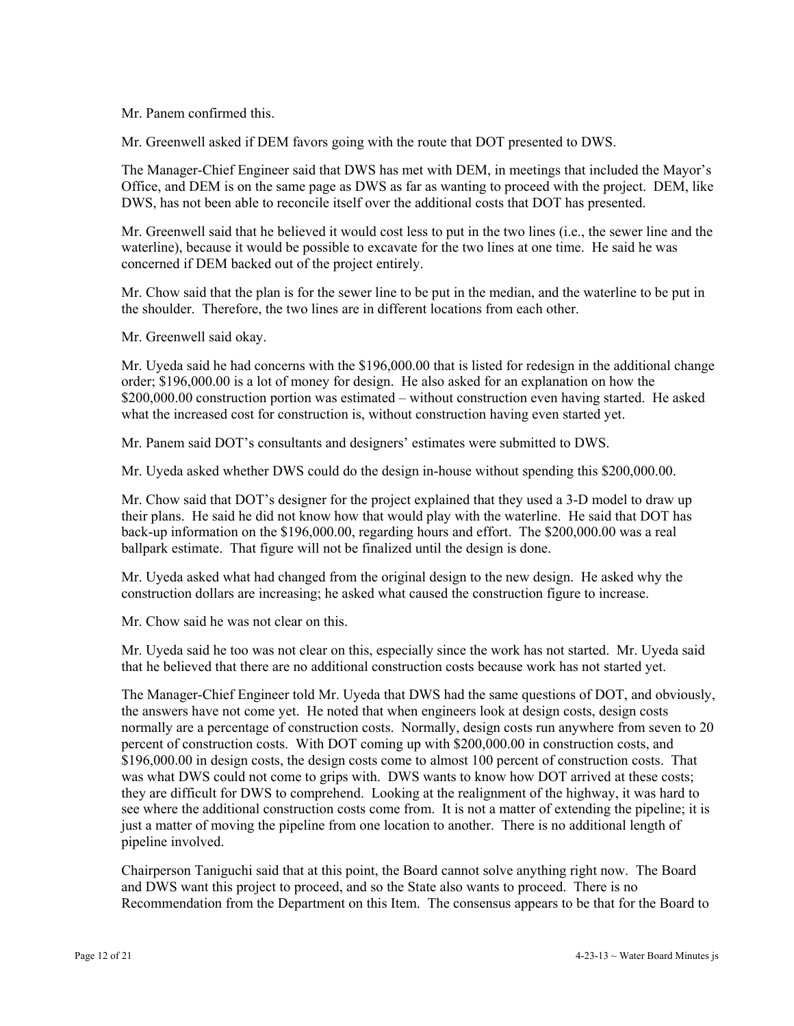Mr. Panem confirmed this.

Mr. Greenwell asked if DEM favors going with the route that DOT presented to DWS.

The Manager-Chief Engineer said that DWS has met with DEM, in meetings that included the Mayor's Office, and DEM is on the same page as DWS as far as wanting to proceed with the project. DEM, like DWS, has not been able to reconcile itself over the additional costs that DOT has presented.

Mr. Greenwell said that he believed it would cost less to put in the two lines (i.e., the sewer line and the waterline), because it would be possible to excavate for the two lines at one time. He said he was concerned if DEM backed out of the project entirely.

Mr. Chow said that the plan is for the sewer line to be put in the median, and the waterline to be put in the shoulder. Therefore, the two lines are in different locations from each other.

Mr. Greenwell said okay.

Mr. Uyeda said he had concerns with the \$196,000.00 that is listed for redesign in the additional change order; \$196,000.00 is a lot of money for design. He also asked for an explanation on how the \$200,000.00 construction portion was estimated – without construction even having started. He asked what the increased cost for construction is, without construction having even started yet.

Mr. Panem said DOT's consultants and designers' estimates were submitted to DWS.

Mr. Uyeda asked whether DWS could do the design in-house without spending this \$200,000.00.

Mr. Chow said that DOT's designer for the project explained that they used a 3-D model to draw up their plans. He said he did not know how that would play with the waterline. He said that DOT has back-up information on the \$196,000.00, regarding hours and effort. The \$200,000.00 was a real ballpark estimate. That figure will not be finalized until the design is done.

Mr. Uyeda asked what had changed from the original design to the new design. He asked why the construction dollars are increasing; he asked what caused the construction figure to increase.

Mr. Chow said he was not clear on this.

Mr. Uyeda said he too was not clear on this, especially since the work has not started. Mr. Uyeda said that he believed that there are no additional construction costs because work has not started yet.

The Manager-Chief Engineer told Mr. Uyeda that DWS had the same questions of DOT, and obviously, the answers have not come yet. He noted that when engineers look at design costs, design costs normally are a percentage of construction costs. Normally, design costs run anywhere from seven to 20 percent of construction costs. With DOT coming up with \$200,000.00 in construction costs, and \$196,000.00 in design costs, the design costs come to almost 100 percent of construction costs. That was what DWS could not come to grips with. DWS wants to know how DOT arrived at these costs; they are difficult for DWS to comprehend. Looking at the realignment of the highway, it was hard to see where the additional construction costs come from. It is not a matter of extending the pipeline; it is just a matter of moving the pipeline from one location to another. There is no additional length of pipeline involved.

Chairperson Taniguchi said that at this point, the Board cannot solve anything right now. The Board and DWS want this project to proceed, and so the State also wants to proceed. There is no Recommendation from the Department on this Item. The consensus appears to be that for the Board to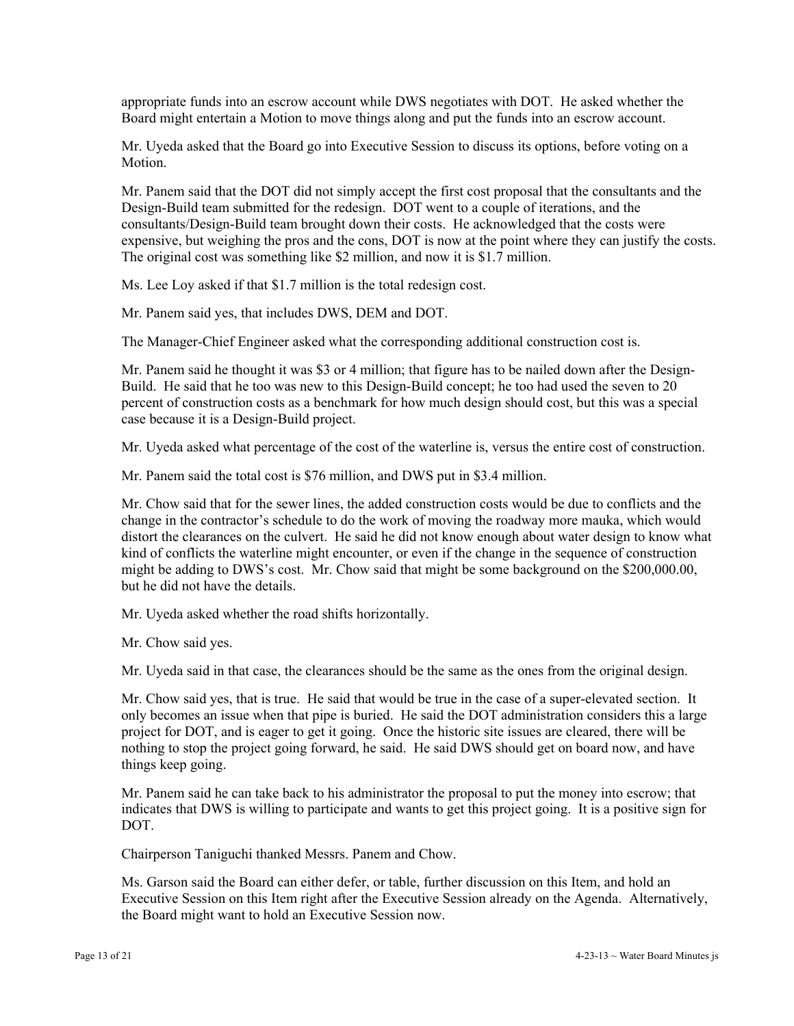appropriate funds into an escrow account while DWS negotiates with DOT. He asked whether the Board might entertain a Motion to move things along and put the funds into an escrow account.

Mr. Uyeda asked that the Board go into Executive Session to discuss its options, before voting on a **Motion** 

Mr. Panem said that the DOT did not simply accept the first cost proposal that the consultants and the Design-Build team submitted for the redesign. DOT went to a couple of iterations, and the consultants/Design-Build team brought down their costs. He acknowledged that the costs were expensive, but weighing the pros and the cons, DOT is now at the point where they can justify the costs. The original cost was something like \$2 million, and now it is \$1.7 million.

Ms. Lee Loy asked if that \$1.7 million is the total redesign cost.

Mr. Panem said yes, that includes DWS, DEM and DOT.

The Manager-Chief Engineer asked what the corresponding additional construction cost is.

Mr. Panem said he thought it was \$3 or 4 million; that figure has to be nailed down after the Design-Build. He said that he too was new to this Design-Build concept; he too had used the seven to 20 percent of construction costs as a benchmark for how much design should cost, but this was a special case because it is a Design-Build project.

Mr. Uyeda asked what percentage of the cost of the waterline is, versus the entire cost of construction.

Mr. Panem said the total cost is \$76 million, and DWS put in \$3.4 million.

Mr. Chow said that for the sewer lines, the added construction costs would be due to conflicts and the change in the contractor's schedule to do the work of moving the roadway more mauka, which would distort the clearances on the culvert. He said he did not know enough about water design to know what kind of conflicts the waterline might encounter, or even if the change in the sequence of construction might be adding to DWS's cost. Mr. Chow said that might be some background on the \$200,000.00, but he did not have the details.

Mr. Uyeda asked whether the road shifts horizontally.

Mr. Chow said yes.

Mr. Uyeda said in that case, the clearances should be the same as the ones from the original design.

Mr. Chow said yes, that is true. He said that would be true in the case of a super-elevated section. It only becomes an issue when that pipe is buried. He said the DOT administration considers this a large project for DOT, and is eager to get it going. Once the historic site issues are cleared, there will be nothing to stop the project going forward, he said. He said DWS should get on board now, and have things keep going.

Mr. Panem said he can take back to his administrator the proposal to put the money into escrow; that indicates that DWS is willing to participate and wants to get this project going. It is a positive sign for DOT.

Chairperson Taniguchi thanked Messrs. Panem and Chow.

Ms. Garson said the Board can either defer, or table, further discussion on this Item, and hold an Executive Session on this Item right after the Executive Session already on the Agenda. Alternatively, the Board might want to hold an Executive Session now.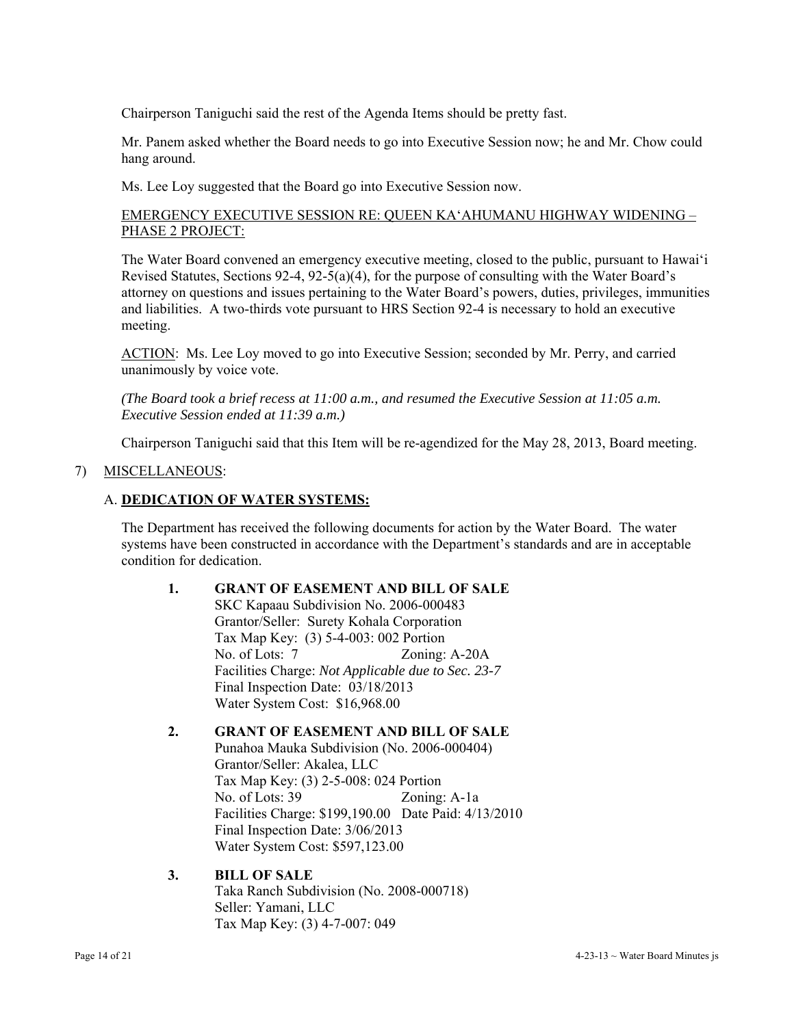Chairperson Taniguchi said the rest of the Agenda Items should be pretty fast.

Mr. Panem asked whether the Board needs to go into Executive Session now; he and Mr. Chow could hang around.

Ms. Lee Loy suggested that the Board go into Executive Session now.

### EMERGENCY EXECUTIVE SESSION RE: QUEEN KA'AHUMANU HIGHWAY WIDENING – PHASE 2 PROJECT:

The Water Board convened an emergency executive meeting, closed to the public, pursuant to Hawai'i Revised Statutes, Sections 92-4, 92-5(a)(4), for the purpose of consulting with the Water Board's attorney on questions and issues pertaining to the Water Board's powers, duties, privileges, immunities and liabilities. A two-thirds vote pursuant to HRS Section 92-4 is necessary to hold an executive meeting.

ACTION: Ms. Lee Loy moved to go into Executive Session; seconded by Mr. Perry, and carried unanimously by voice vote.

*(The Board took a brief recess at 11:00 a.m., and resumed the Executive Session at 11:05 a.m. Executive Session ended at 11:39 a.m.)* 

Chairperson Taniguchi said that this Item will be re-agendized for the May 28, 2013, Board meeting.

### 7) MISCELLANEOUS:

### A. **DEDICATION OF WATER SYSTEMS:**

The Department has received the following documents for action by the Water Board. The water systems have been constructed in accordance with the Department's standards and are in acceptable condition for dedication.

#### **1. GRANT OF EASEMENT AND BILL OF SALE**

SKC Kapaau Subdivision No. 2006-000483 Grantor/Seller: Surety Kohala Corporation Tax Map Key: (3) 5-4-003: 002 Portion No. of Lots: 7 Zoning: A-20A Facilities Charge: *Not Applicable due to Sec. 23-7*  Final Inspection Date: 03/18/2013 Water System Cost: \$16,968.00

#### **2. GRANT OF EASEMENT AND BILL OF SALE**

 Punahoa Mauka Subdivision (No. 2006-000404) Grantor/Seller: Akalea, LLC Tax Map Key: (3) 2-5-008: 024 Portion No. of Lots: 39 Zoning: A-1a Facilities Charge: \$199,190.00 Date Paid: 4/13/2010 Final Inspection Date: 3/06/2013 Water System Cost: \$597,123.00

#### **3. BILL OF SALE**

 Taka Ranch Subdivision (No. 2008-000718) Seller: Yamani, LLC Tax Map Key: (3) 4-7-007: 049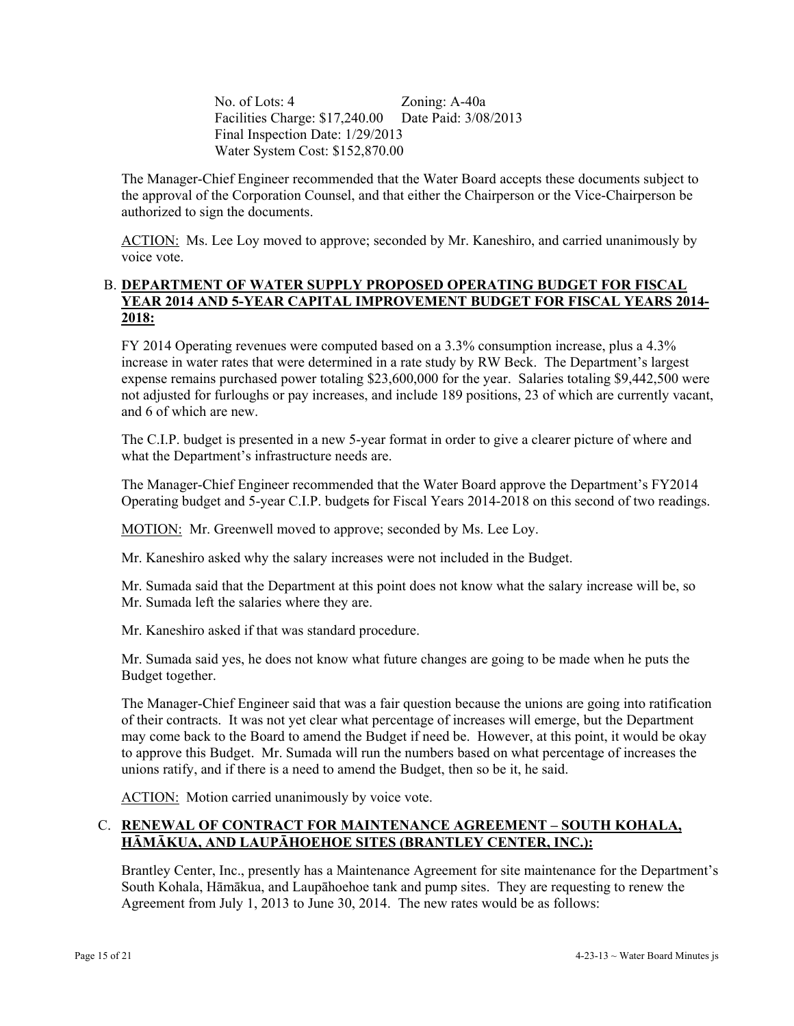No. of Lots: 4 Zoning: A-40a Facilities Charge: \$17,240.00 Date Paid: 3/08/2013 Final Inspection Date: 1/29/2013 Water System Cost: \$152,870.00

The Manager-Chief Engineer recommended that the Water Board accepts these documents subject to the approval of the Corporation Counsel, and that either the Chairperson or the Vice-Chairperson be authorized to sign the documents.

ACTION: Ms. Lee Loy moved to approve; seconded by Mr. Kaneshiro, and carried unanimously by voice vote.

### B. **DEPARTMENT OF WATER SUPPLY PROPOSED OPERATING BUDGET FOR FISCAL YEAR 2014 AND 5-YEAR CAPITAL IMPROVEMENT BUDGET FOR FISCAL YEARS 2014- 2018:**

FY 2014 Operating revenues were computed based on a 3.3% consumption increase, plus a 4.3% increase in water rates that were determined in a rate study by RW Beck. The Department's largest expense remains purchased power totaling \$23,600,000 for the year. Salaries totaling \$9,442,500 were not adjusted for furloughs or pay increases, and include 189 positions, 23 of which are currently vacant, and 6 of which are new.

The C.I.P. budget is presented in a new 5-year format in order to give a clearer picture of where and what the Department's infrastructure needs are.

The Manager-Chief Engineer recommended that the Water Board approve the Department's FY2014 Operating budget and 5-year C.I.P. budgets for Fiscal Years 2014-2018 on this second of two readings.

MOTION: Mr. Greenwell moved to approve; seconded by Ms. Lee Loy.

Mr. Kaneshiro asked why the salary increases were not included in the Budget.

Mr. Sumada said that the Department at this point does not know what the salary increase will be, so Mr. Sumada left the salaries where they are.

Mr. Kaneshiro asked if that was standard procedure.

Mr. Sumada said yes, he does not know what future changes are going to be made when he puts the Budget together.

The Manager-Chief Engineer said that was a fair question because the unions are going into ratification of their contracts. It was not yet clear what percentage of increases will emerge, but the Department may come back to the Board to amend the Budget if need be. However, at this point, it would be okay to approve this Budget. Mr. Sumada will run the numbers based on what percentage of increases the unions ratify, and if there is a need to amend the Budget, then so be it, he said.

ACTION: Motion carried unanimously by voice vote.

### C. **RENEWAL OF CONTRACT FOR MAINTENANCE AGREEMENT – SOUTH KOHALA, HĀMĀKUA, AND LAUPĀHOEHOE SITES (BRANTLEY CENTER, INC.):**

Brantley Center, Inc., presently has a Maintenance Agreement for site maintenance for the Department's South Kohala, Hāmākua, and Laupāhoehoe tank and pump sites. They are requesting to renew the Agreement from July 1, 2013 to June 30, 2014. The new rates would be as follows: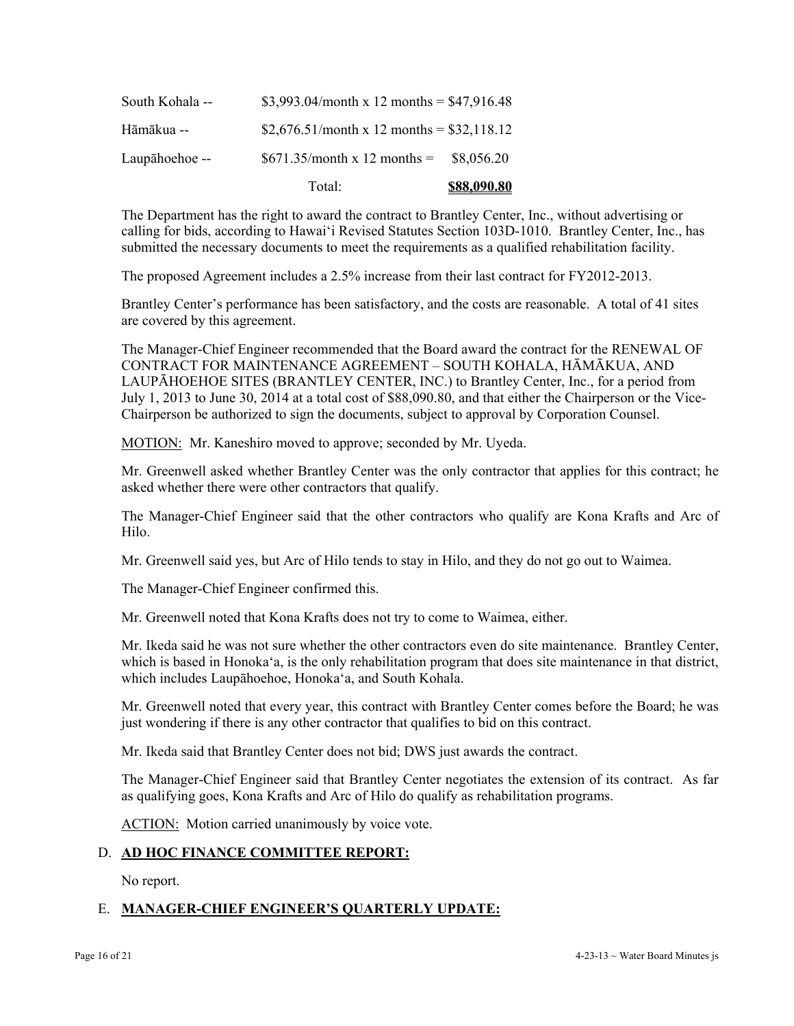|                 | Total:                                      | \$88,090.80 |
|-----------------|---------------------------------------------|-------------|
| Laupāhoehoe-    | $$671.35/month x 12 months =$               | \$8.056.20  |
| Hāmākua --      | \$2,676.51/month x 12 months = \$32,118.12  |             |
| South Kohala -- | \$3,993.04/month x 12 months = $$47,916.48$ |             |

The Department has the right to award the contract to Brantley Center, Inc., without advertising or calling for bids, according to Hawai'i Revised Statutes Section 103D-1010. Brantley Center, Inc., has submitted the necessary documents to meet the requirements as a qualified rehabilitation facility.

The proposed Agreement includes a 2.5% increase from their last contract for FY2012-2013.

Brantley Center's performance has been satisfactory, and the costs are reasonable. A total of 41 sites are covered by this agreement.

The Manager-Chief Engineer recommended that the Board award the contract for the RENEWAL OF CONTRACT FOR MAINTENANCE AGREEMENT – SOUTH KOHALA, HĀMĀKUA, AND LAUPĀHOEHOE SITES (BRANTLEY CENTER, INC.) to Brantley Center, Inc., for a period from July 1, 2013 to June 30, 2014 at a total cost of \$88,090.80, and that either the Chairperson or the Vice-Chairperson be authorized to sign the documents, subject to approval by Corporation Counsel.

MOTION: Mr. Kaneshiro moved to approve; seconded by Mr. Uyeda.

Mr. Greenwell asked whether Brantley Center was the only contractor that applies for this contract; he asked whether there were other contractors that qualify.

The Manager-Chief Engineer said that the other contractors who qualify are Kona Krafts and Arc of Hilo.

Mr. Greenwell said yes, but Arc of Hilo tends to stay in Hilo, and they do not go out to Waimea.

The Manager-Chief Engineer confirmed this.

Mr. Greenwell noted that Kona Krafts does not try to come to Waimea, either.

Mr. Ikeda said he was not sure whether the other contractors even do site maintenance. Brantley Center, which is based in Honoka'a, is the only rehabilitation program that does site maintenance in that district, which includes Laupāhoehoe, Honoka'a, and South Kohala.

Mr. Greenwell noted that every year, this contract with Brantley Center comes before the Board; he was just wondering if there is any other contractor that qualifies to bid on this contract.

Mr. Ikeda said that Brantley Center does not bid; DWS just awards the contract.

The Manager-Chief Engineer said that Brantley Center negotiates the extension of its contract. As far as qualifying goes, Kona Krafts and Arc of Hilo do qualify as rehabilitation programs.

ACTION: Motion carried unanimously by voice vote.

### D. **AD HOC FINANCE COMMITTEE REPORT:**

No report.

# E. **MANAGER-CHIEF ENGINEER'S QUARTERLY UPDATE:**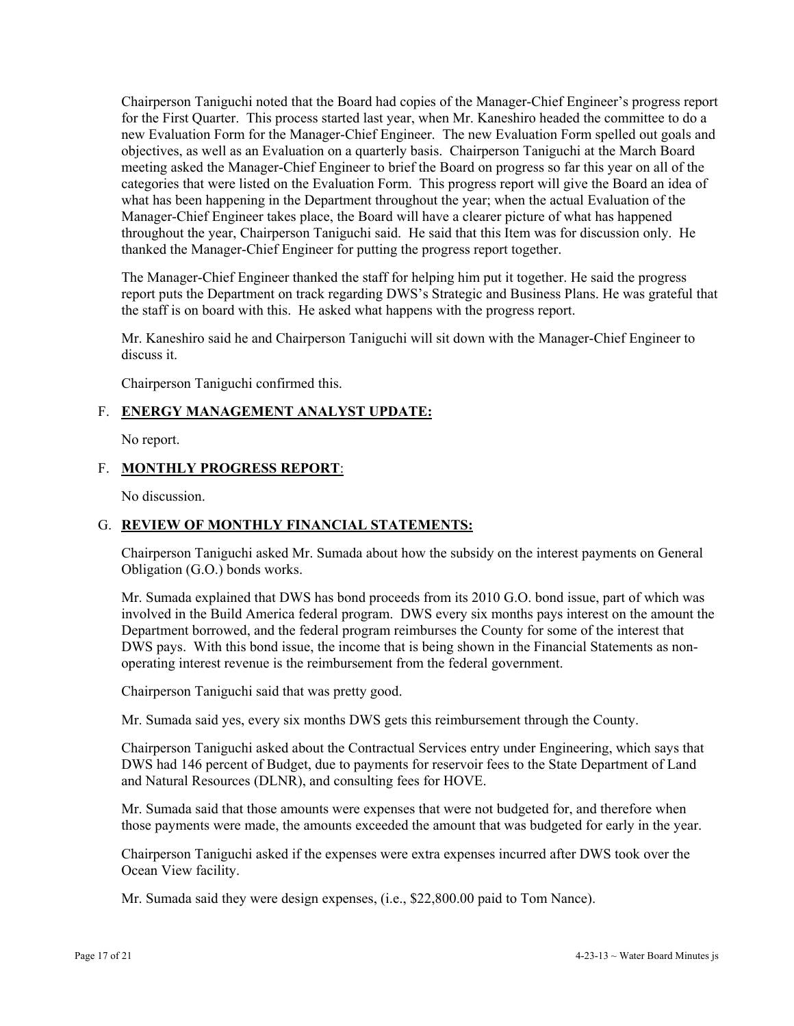Chairperson Taniguchi noted that the Board had copies of the Manager-Chief Engineer's progress report for the First Quarter. This process started last year, when Mr. Kaneshiro headed the committee to do a new Evaluation Form for the Manager-Chief Engineer. The new Evaluation Form spelled out goals and objectives, as well as an Evaluation on a quarterly basis. Chairperson Taniguchi at the March Board meeting asked the Manager-Chief Engineer to brief the Board on progress so far this year on all of the categories that were listed on the Evaluation Form. This progress report will give the Board an idea of what has been happening in the Department throughout the year; when the actual Evaluation of the Manager-Chief Engineer takes place, the Board will have a clearer picture of what has happened throughout the year, Chairperson Taniguchi said. He said that this Item was for discussion only. He thanked the Manager-Chief Engineer for putting the progress report together.

The Manager-Chief Engineer thanked the staff for helping him put it together. He said the progress report puts the Department on track regarding DWS's Strategic and Business Plans. He was grateful that the staff is on board with this. He asked what happens with the progress report.

Mr. Kaneshiro said he and Chairperson Taniguchi will sit down with the Manager-Chief Engineer to discuss it.

Chairperson Taniguchi confirmed this.

### F. **ENERGY MANAGEMENT ANALYST UPDATE:**

No report.

#### F. **MONTHLY PROGRESS REPORT**:

No discussion.

#### G. **REVIEW OF MONTHLY FINANCIAL STATEMENTS:**

Chairperson Taniguchi asked Mr. Sumada about how the subsidy on the interest payments on General Obligation (G.O.) bonds works.

Mr. Sumada explained that DWS has bond proceeds from its 2010 G.O. bond issue, part of which was involved in the Build America federal program. DWS every six months pays interest on the amount the Department borrowed, and the federal program reimburses the County for some of the interest that DWS pays. With this bond issue, the income that is being shown in the Financial Statements as nonoperating interest revenue is the reimbursement from the federal government.

Chairperson Taniguchi said that was pretty good.

Mr. Sumada said yes, every six months DWS gets this reimbursement through the County.

Chairperson Taniguchi asked about the Contractual Services entry under Engineering, which says that DWS had 146 percent of Budget, due to payments for reservoir fees to the State Department of Land and Natural Resources (DLNR), and consulting fees for HOVE.

Mr. Sumada said that those amounts were expenses that were not budgeted for, and therefore when those payments were made, the amounts exceeded the amount that was budgeted for early in the year.

Chairperson Taniguchi asked if the expenses were extra expenses incurred after DWS took over the Ocean View facility.

Mr. Sumada said they were design expenses, (i.e., \$22,800.00 paid to Tom Nance).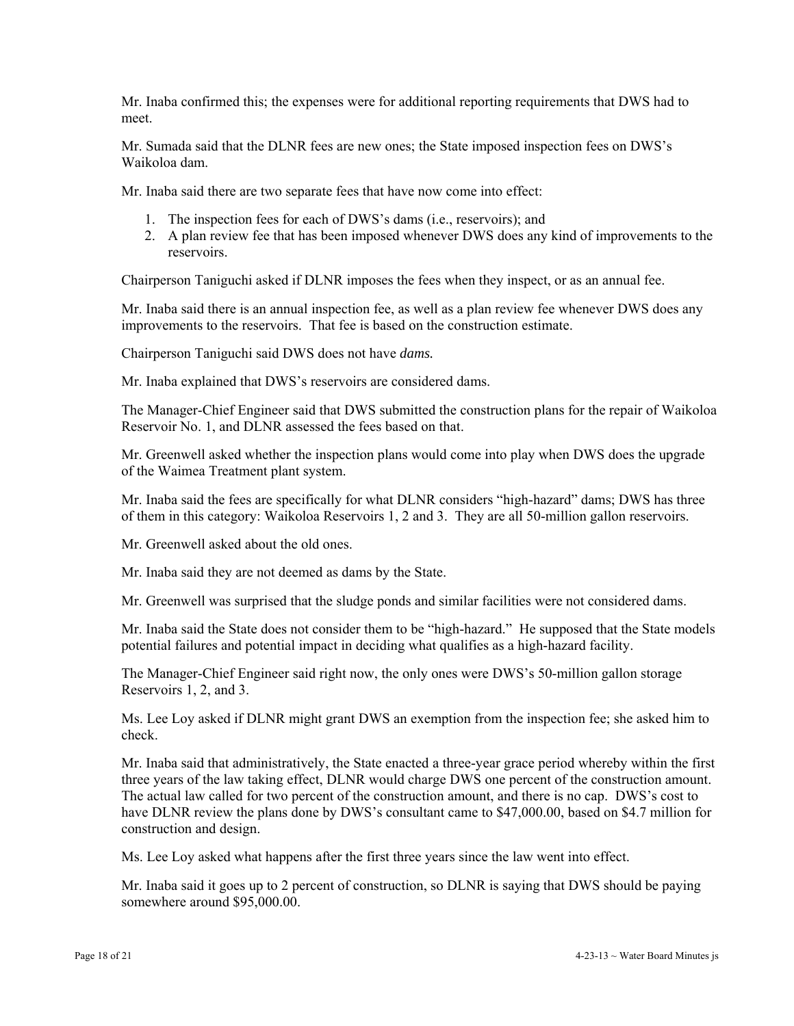Mr. Inaba confirmed this; the expenses were for additional reporting requirements that DWS had to meet.

Mr. Sumada said that the DLNR fees are new ones; the State imposed inspection fees on DWS's Waikoloa dam.

Mr. Inaba said there are two separate fees that have now come into effect:

- 1. The inspection fees for each of DWS's dams (i.e., reservoirs); and
- 2. A plan review fee that has been imposed whenever DWS does any kind of improvements to the reservoirs.

Chairperson Taniguchi asked if DLNR imposes the fees when they inspect, or as an annual fee.

Mr. Inaba said there is an annual inspection fee, as well as a plan review fee whenever DWS does any improvements to the reservoirs. That fee is based on the construction estimate.

Chairperson Taniguchi said DWS does not have *dams.* 

Mr. Inaba explained that DWS's reservoirs are considered dams.

The Manager-Chief Engineer said that DWS submitted the construction plans for the repair of Waikoloa Reservoir No. 1, and DLNR assessed the fees based on that.

Mr. Greenwell asked whether the inspection plans would come into play when DWS does the upgrade of the Waimea Treatment plant system.

Mr. Inaba said the fees are specifically for what DLNR considers "high-hazard" dams; DWS has three of them in this category: Waikoloa Reservoirs 1, 2 and 3. They are all 50-million gallon reservoirs.

Mr. Greenwell asked about the old ones.

Mr. Inaba said they are not deemed as dams by the State.

Mr. Greenwell was surprised that the sludge ponds and similar facilities were not considered dams.

Mr. Inaba said the State does not consider them to be "high-hazard." He supposed that the State models potential failures and potential impact in deciding what qualifies as a high-hazard facility.

The Manager-Chief Engineer said right now, the only ones were DWS's 50-million gallon storage Reservoirs 1, 2, and 3.

Ms. Lee Loy asked if DLNR might grant DWS an exemption from the inspection fee; she asked him to check.

Mr. Inaba said that administratively, the State enacted a three-year grace period whereby within the first three years of the law taking effect, DLNR would charge DWS one percent of the construction amount. The actual law called for two percent of the construction amount, and there is no cap. DWS's cost to have DLNR review the plans done by DWS's consultant came to \$47,000.00, based on \$4.7 million for construction and design.

Ms. Lee Loy asked what happens after the first three years since the law went into effect.

Mr. Inaba said it goes up to 2 percent of construction, so DLNR is saying that DWS should be paying somewhere around \$95,000.00.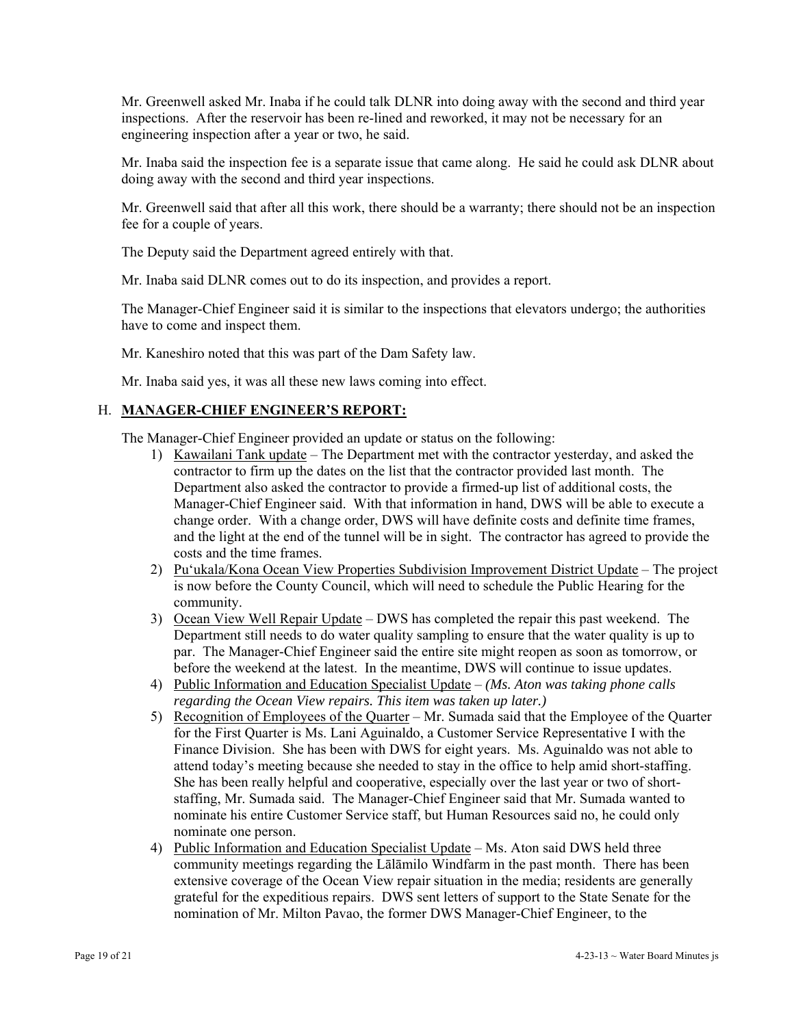Mr. Greenwell asked Mr. Inaba if he could talk DLNR into doing away with the second and third year inspections. After the reservoir has been re-lined and reworked, it may not be necessary for an engineering inspection after a year or two, he said.

Mr. Inaba said the inspection fee is a separate issue that came along. He said he could ask DLNR about doing away with the second and third year inspections.

Mr. Greenwell said that after all this work, there should be a warranty; there should not be an inspection fee for a couple of years.

The Deputy said the Department agreed entirely with that.

Mr. Inaba said DLNR comes out to do its inspection, and provides a report.

The Manager-Chief Engineer said it is similar to the inspections that elevators undergo; the authorities have to come and inspect them.

Mr. Kaneshiro noted that this was part of the Dam Safety law.

Mr. Inaba said yes, it was all these new laws coming into effect.

### H. **MANAGER-CHIEF ENGINEER'S REPORT:**

The Manager-Chief Engineer provided an update or status on the following:

- 1) Kawailani Tank update The Department met with the contractor yesterday, and asked the contractor to firm up the dates on the list that the contractor provided last month. The Department also asked the contractor to provide a firmed-up list of additional costs, the Manager-Chief Engineer said. With that information in hand, DWS will be able to execute a change order. With a change order, DWS will have definite costs and definite time frames, and the light at the end of the tunnel will be in sight. The contractor has agreed to provide the costs and the time frames.
- 2) Pu'ukala/Kona Ocean View Properties Subdivision Improvement District Update The project is now before the County Council, which will need to schedule the Public Hearing for the community.
- 3) Ocean View Well Repair Update DWS has completed the repair this past weekend. The Department still needs to do water quality sampling to ensure that the water quality is up to par. The Manager-Chief Engineer said the entire site might reopen as soon as tomorrow, or before the weekend at the latest. In the meantime, DWS will continue to issue updates.
- 4) Public Information and Education Specialist Update *(Ms. Aton was taking phone calls regarding the Ocean View repairs. This item was taken up later.)*
- 5) Recognition of Employees of the Quarter Mr. Sumada said that the Employee of the Quarter for the First Quarter is Ms. Lani Aguinaldo, a Customer Service Representative I with the Finance Division. She has been with DWS for eight years. Ms. Aguinaldo was not able to attend today's meeting because she needed to stay in the office to help amid short-staffing. She has been really helpful and cooperative, especially over the last year or two of shortstaffing, Mr. Sumada said. The Manager-Chief Engineer said that Mr. Sumada wanted to nominate his entire Customer Service staff, but Human Resources said no, he could only nominate one person.
- 4) Public Information and Education Specialist Update Ms. Aton said DWS held three community meetings regarding the Lālāmilo Windfarm in the past month. There has been extensive coverage of the Ocean View repair situation in the media; residents are generally grateful for the expeditious repairs. DWS sent letters of support to the State Senate for the nomination of Mr. Milton Pavao, the former DWS Manager-Chief Engineer, to the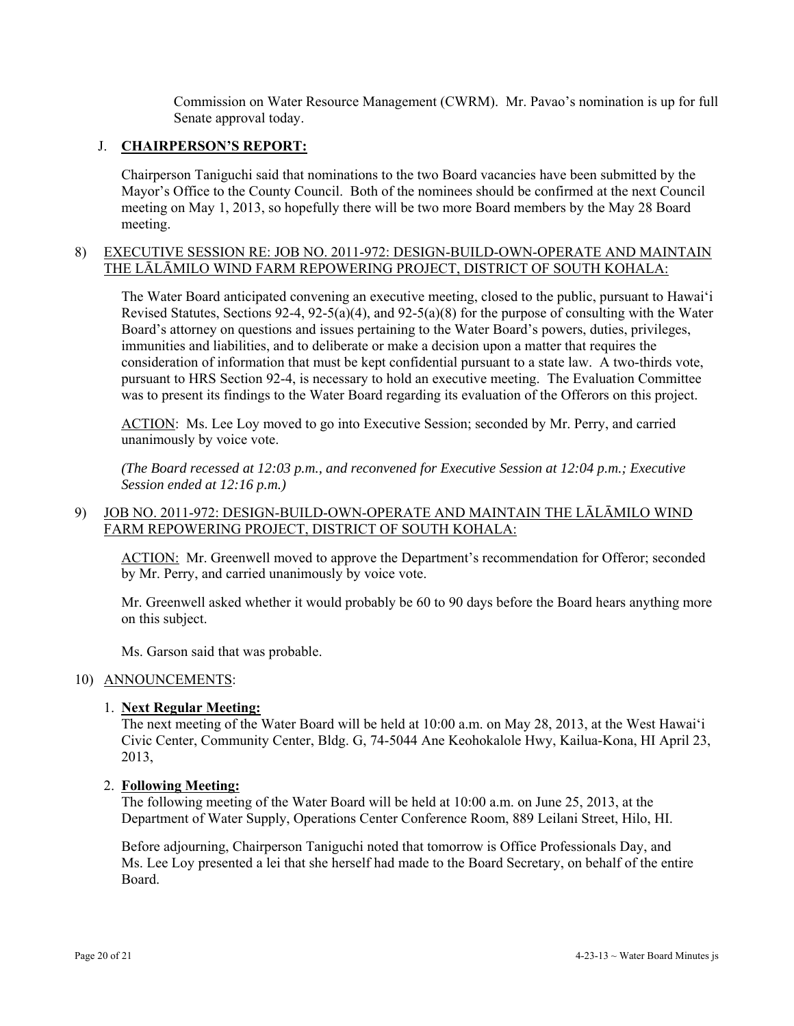Commission on Water Resource Management (CWRM). Mr. Pavao's nomination is up for full Senate approval today.

### J. **CHAIRPERSON'S REPORT:**

Chairperson Taniguchi said that nominations to the two Board vacancies have been submitted by the Mayor's Office to the County Council. Both of the nominees should be confirmed at the next Council meeting on May 1, 2013, so hopefully there will be two more Board members by the May 28 Board meeting.

### 8) EXECUTIVE SESSION RE: JOB NO. 2011-972: DESIGN-BUILD-OWN-OPERATE AND MAINTAIN THE LĀLĀMILO WIND FARM REPOWERING PROJECT, DISTRICT OF SOUTH KOHALA:

The Water Board anticipated convening an executive meeting, closed to the public, pursuant to Hawai'i Revised Statutes, Sections 92-4, 92-5(a)(4), and 92-5(a)(8) for the purpose of consulting with the Water Board's attorney on questions and issues pertaining to the Water Board's powers, duties, privileges, immunities and liabilities, and to deliberate or make a decision upon a matter that requires the consideration of information that must be kept confidential pursuant to a state law. A two-thirds vote, pursuant to HRS Section 92-4, is necessary to hold an executive meeting. The Evaluation Committee was to present its findings to the Water Board regarding its evaluation of the Offerors on this project.

ACTION: Ms. Lee Loy moved to go into Executive Session; seconded by Mr. Perry, and carried unanimously by voice vote.

*(The Board recessed at 12:03 p.m., and reconvened for Executive Session at 12:04 p.m.; Executive Session ended at 12:16 p.m.)* 

# 9) JOB NO. 2011-972: DESIGN-BUILD-OWN-OPERATE AND MAINTAIN THE LĀLĀMILO WIND FARM REPOWERING PROJECT, DISTRICT OF SOUTH KOHALA:

ACTION: Mr. Greenwell moved to approve the Department's recommendation for Offeror; seconded by Mr. Perry, and carried unanimously by voice vote.

Mr. Greenwell asked whether it would probably be 60 to 90 days before the Board hears anything more on this subject.

Ms. Garson said that was probable.

#### 10) ANNOUNCEMENTS:

### 1. **Next Regular Meeting:**

The next meeting of the Water Board will be held at 10:00 a.m. on May 28, 2013, at the West Hawai'i Civic Center, Community Center, Bldg. G, 74-5044 Ane Keohokalole Hwy, Kailua-Kona, HI April 23, 2013,

#### 2. **Following Meeting:**

The following meeting of the Water Board will be held at 10:00 a.m. on June 25, 2013, at the Department of Water Supply, Operations Center Conference Room, 889 Leilani Street, Hilo, HI.

Before adjourning, Chairperson Taniguchi noted that tomorrow is Office Professionals Day, and Ms. Lee Loy presented a lei that she herself had made to the Board Secretary, on behalf of the entire Board.